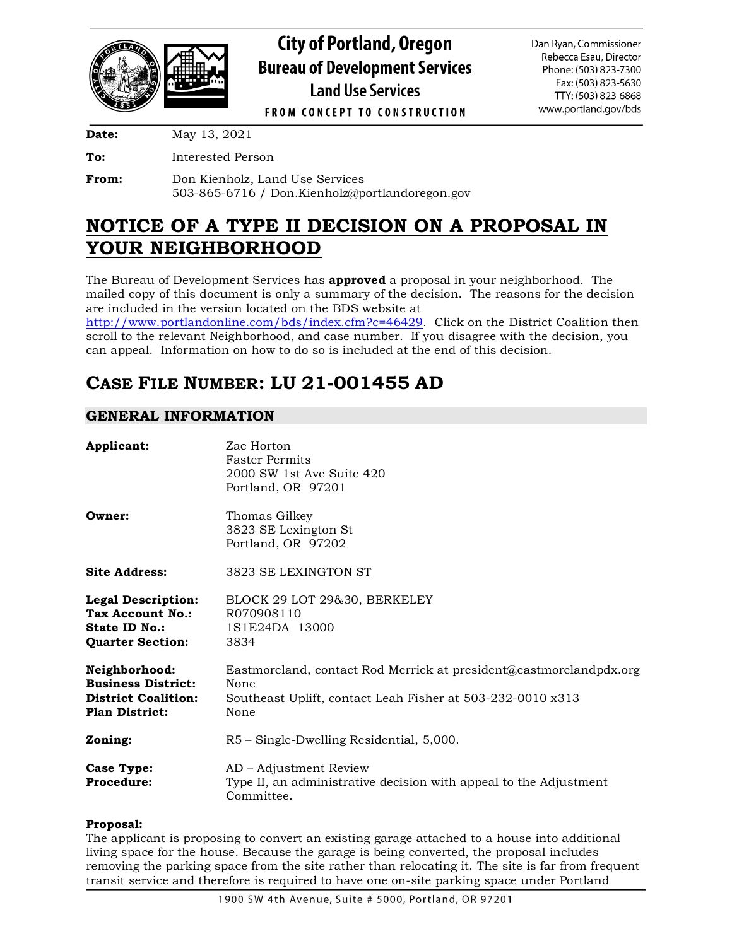

# **City of Portland, Oregon Bureau of Development Services Land Use Services**

Dan Ryan, Commissioner Rebecca Esau, Director

Phone: (503) 823-7300 Fax: (503) 823-5630

TTY: (503) 823-6868 www.portland.gov/bds

**FROM CONCEPT TO CONSTRUCTION** 

**Date:** May 13, 2021

**To:** Interested Person

**From:** Don Kienholz, Land Use Services 503-865-6716 / Don.Kienholz@portlandoregon.gov

# **NOTICE OF A TYPE II DECISION ON A PROPOSAL IN YOUR NEIGHBORHOOD**

The Bureau of Development Services has **approved** a proposal in your neighborhood. The mailed copy of this document is only a summary of the decision. The reasons for the decision are included in the version located on the BDS website at

[http://www.portlandonline.com/bds/index.cfm?c=46429.](http://www.portlandonline.com/bds/index.cfm?c=46429) Click on the District Coalition then scroll to the relevant Neighborhood, and case number. If you disagree with the decision, you can appeal. Information on how to do so is included at the end of this decision.

# **CASE FILE NUMBER: LU 21-001455 AD**

## **GENERAL INFORMATION**

| Applicant:                                                                                        | Zac Horton<br><b>Faster Permits</b><br>2000 SW 1st Ave Suite 420<br>Portland, OR 97201                                                           |
|---------------------------------------------------------------------------------------------------|--------------------------------------------------------------------------------------------------------------------------------------------------|
| Owner:                                                                                            | Thomas Gilkey<br>3823 SE Lexington St<br>Portland, OR 97202                                                                                      |
| <b>Site Address:</b>                                                                              | 3823 SE LEXINGTON ST                                                                                                                             |
| Legal Description:<br>Tax Account No.:<br>State ID No.:<br><b>Quarter Section:</b>                | BLOCK 29 LOT 29&30, BERKELEY<br>R070908110<br>1S1E24DA 13000<br>3834                                                                             |
| Neighborhood:<br><b>Business District:</b><br><b>District Coalition:</b><br><b>Plan District:</b> | Eastmoreland, contact Rod Merrick at president@eastmorelandpdx.org<br>None<br>Southeast Uplift, contact Leah Fisher at 503-232-0010 x313<br>None |
| Zoning:                                                                                           | R5 – Single-Dwelling Residential, 5,000.                                                                                                         |
| Case Type:<br><b>Procedure:</b>                                                                   | AD - Adjustment Review<br>Type II, an administrative decision with appeal to the Adjustment<br>Committee.                                        |

#### **Proposal:**

The applicant is proposing to convert an existing garage attached to a house into additional living space for the house. Because the garage is being converted, the proposal includes removing the parking space from the site rather than relocating it. The site is far from frequent transit service and therefore is required to have one on-site parking space under Portland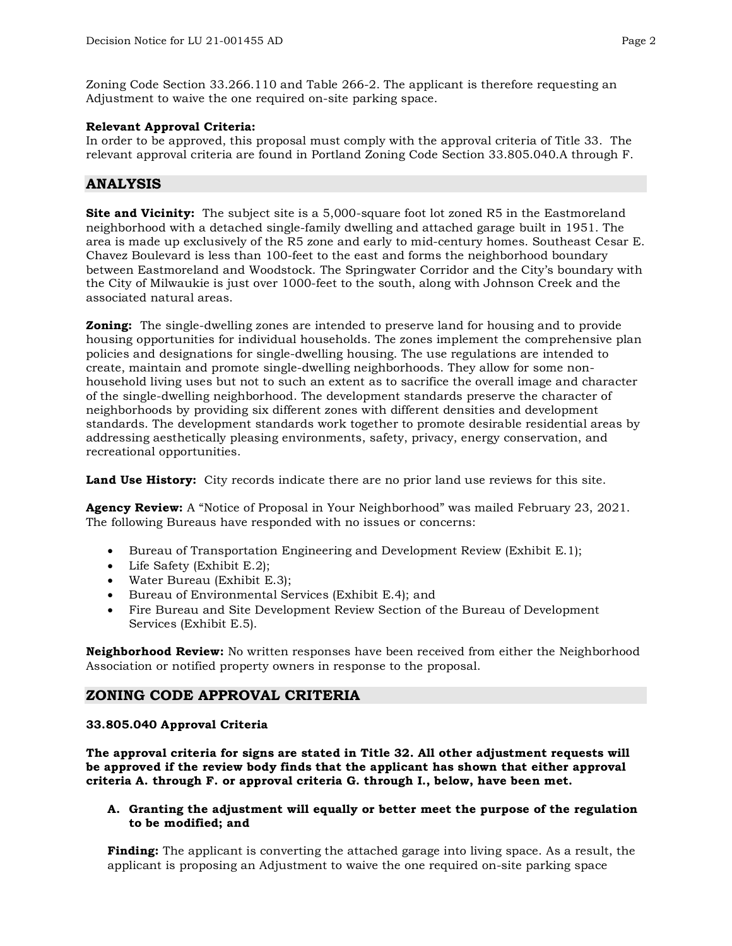Zoning Code Section 33.266.110 and Table 266-2. The applicant is therefore requesting an Adjustment to waive the one required on-site parking space.

#### **Relevant Approval Criteria:**

In order to be approved, this proposal must comply with the approval criteria of Title 33. The relevant approval criteria are found in Portland Zoning Code Section 33.805.040.A through F.

## **ANALYSIS**

**Site and Vicinity:** The subject site is a 5,000-square foot lot zoned R5 in the Eastmoreland neighborhood with a detached single-family dwelling and attached garage built in 1951. The area is made up exclusively of the R5 zone and early to mid-century homes. Southeast Cesar E. Chavez Boulevard is less than 100-feet to the east and forms the neighborhood boundary between Eastmoreland and Woodstock. The Springwater Corridor and the City's boundary with the City of Milwaukie is just over 1000-feet to the south, along with Johnson Creek and the associated natural areas.

**Zoning:** The single-dwelling zones are intended to preserve land for housing and to provide housing opportunities for individual households. The zones implement the comprehensive plan policies and designations for single-dwelling housing. The use regulations are intended to create, maintain and promote single-dwelling neighborhoods. They allow for some nonhousehold living uses but not to such an extent as to sacrifice the overall image and character of the single-dwelling neighborhood. The development standards preserve the character of neighborhoods by providing six different zones with different densities and development standards. The development standards work together to promote desirable residential areas by addressing aesthetically pleasing environments, safety, privacy, energy conservation, and recreational opportunities.

**Land Use History:** City records indicate there are no prior land use reviews for this site.

**Agency Review:** A "Notice of Proposal in Your Neighborhood" was mailed February 23, 2021. The following Bureaus have responded with no issues or concerns:

- Bureau of Transportation Engineering and Development Review (Exhibit E.1);
- Life Safety (Exhibit E.2);
- Water Bureau (Exhibit E.3);
- Bureau of Environmental Services (Exhibit E.4); and
- Fire Bureau and Site Development Review Section of the Bureau of Development Services (Exhibit E.5).

**Neighborhood Review:** No written responses have been received from either the Neighborhood Association or notified property owners in response to the proposal.

## **ZONING CODE APPROVAL CRITERIA**

#### **33.805.040 Approval Criteria**

**The approval criteria for signs are stated in Title 32. All other adjustment requests will be approved if the review body finds that the applicant has shown that either approval criteria A. through F. or approval criteria G. through I., below, have been met.**

#### **A. Granting the adjustment will equally or better meet the purpose of the regulation to be modified; and**

**Finding:** The applicant is converting the attached garage into living space. As a result, the applicant is proposing an Adjustment to waive the one required on-site parking space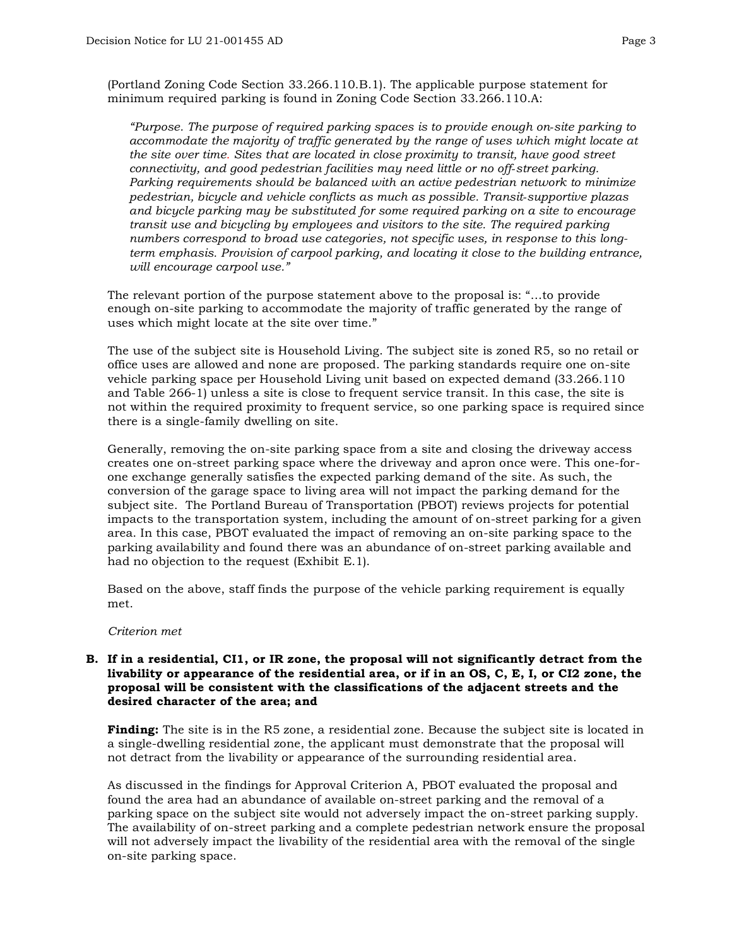(Portland Zoning Code Section 33.266.110.B.1). The applicable purpose statement for minimum required parking is found in Zoning Code Section 33.266.110.A:

*"Purpose. The purpose of required parking spaces is to provide enough on‐site parking to accommodate the majority of traffic generated by the range of uses which might locate at the site over time. Sites that are located in close proximity to transit, have good street connectivity, and good pedestrian facilities may need little or no off‐street parking. Parking requirements should be balanced with an active pedestrian network to minimize pedestrian, bicycle and vehicle conflicts as much as possible. Transit‐supportive plazas and bicycle parking may be substituted for some required parking on a site to encourage transit use and bicycling by employees and visitors to the site. The required parking numbers correspond to broad use categories, not specific uses, in response to this longterm emphasis. Provision of carpool parking, and locating it close to the building entrance, will encourage carpool use."*

The relevant portion of the purpose statement above to the proposal is: "…to provide enough on-site parking to accommodate the majority of traffic generated by the range of uses which might locate at the site over time."

The use of the subject site is Household Living. The subject site is zoned R5, so no retail or office uses are allowed and none are proposed. The parking standards require one on-site vehicle parking space per Household Living unit based on expected demand (33.266.110 and Table 266-1) unless a site is close to frequent service transit. In this case, the site is not within the required proximity to frequent service, so one parking space is required since there is a single-family dwelling on site.

Generally, removing the on-site parking space from a site and closing the driveway access creates one on-street parking space where the driveway and apron once were. This one-forone exchange generally satisfies the expected parking demand of the site. As such, the conversion of the garage space to living area will not impact the parking demand for the subject site. The Portland Bureau of Transportation (PBOT) reviews projects for potential impacts to the transportation system, including the amount of on-street parking for a given area. In this case, PBOT evaluated the impact of removing an on-site parking space to the parking availability and found there was an abundance of on-street parking available and had no objection to the request (Exhibit E.1).

Based on the above, staff finds the purpose of the vehicle parking requirement is equally met.

#### *Criterion met*

#### **B. If in a residential, CI1, or IR zone, the proposal will not significantly detract from the livability or appearance of the residential area, or if in an OS, C, E, I, or CI2 zone, the proposal will be consistent with the classifications of the adjacent streets and the desired character of the area; and**

**Finding:** The site is in the R5 zone, a residential zone. Because the subject site is located in a single-dwelling residential zone, the applicant must demonstrate that the proposal will not detract from the livability or appearance of the surrounding residential area.

As discussed in the findings for Approval Criterion A, PBOT evaluated the proposal and found the area had an abundance of available on-street parking and the removal of a parking space on the subject site would not adversely impact the on-street parking supply. The availability of on-street parking and a complete pedestrian network ensure the proposal will not adversely impact the livability of the residential area with the removal of the single on-site parking space.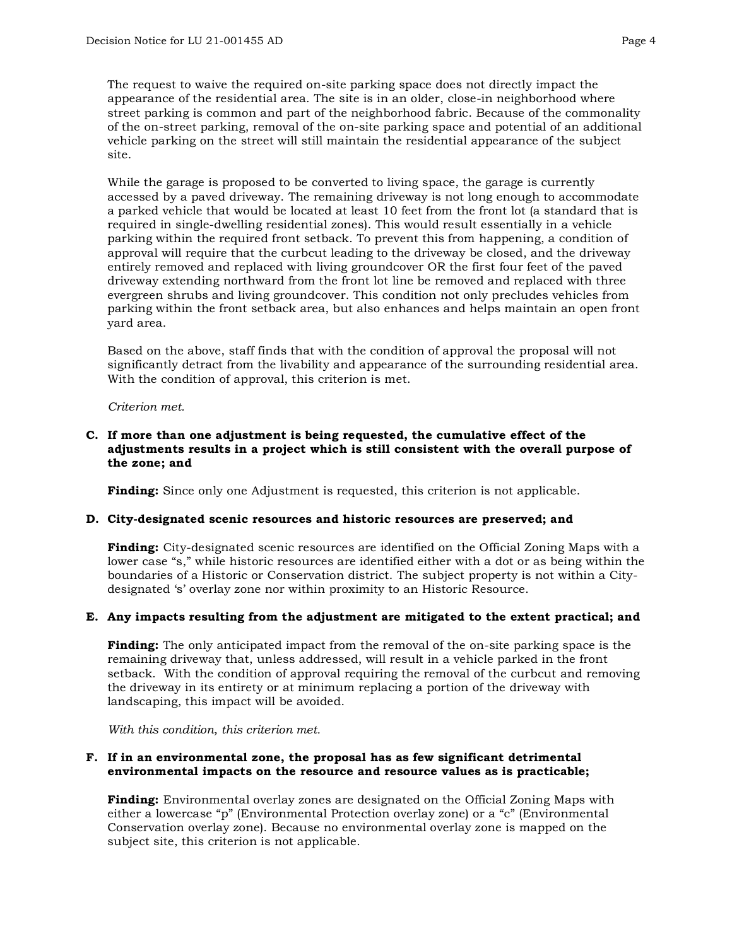The request to waive the required on-site parking space does not directly impact the appearance of the residential area. The site is in an older, close-in neighborhood where street parking is common and part of the neighborhood fabric. Because of the commonality of the on-street parking, removal of the on-site parking space and potential of an additional vehicle parking on the street will still maintain the residential appearance of the subject site.

While the garage is proposed to be converted to living space, the garage is currently accessed by a paved driveway. The remaining driveway is not long enough to accommodate a parked vehicle that would be located at least 10 feet from the front lot (a standard that is required in single-dwelling residential zones). This would result essentially in a vehicle parking within the required front setback. To prevent this from happening, a condition of approval will require that the curbcut leading to the driveway be closed, and the driveway entirely removed and replaced with living groundcover OR the first four feet of the paved driveway extending northward from the front lot line be removed and replaced with three evergreen shrubs and living groundcover. This condition not only precludes vehicles from parking within the front setback area, but also enhances and helps maintain an open front yard area.

Based on the above, staff finds that with the condition of approval the proposal will not significantly detract from the livability and appearance of the surrounding residential area. With the condition of approval, this criterion is met.

*Criterion met.*

#### **C. If more than one adjustment is being requested, the cumulative effect of the adjustments results in a project which is still consistent with the overall purpose of the zone; and**

**Finding:** Since only one Adjustment is requested, this criterion is not applicable.

## **D. City-designated scenic resources and historic resources are preserved; and**

**Finding:** City-designated scenic resources are identified on the Official Zoning Maps with a lower case "s," while historic resources are identified either with a dot or as being within the boundaries of a Historic or Conservation district. The subject property is not within a Citydesignated 's' overlay zone nor within proximity to an Historic Resource.

## **E. Any impacts resulting from the adjustment are mitigated to the extent practical; and**

**Finding:** The only anticipated impact from the removal of the on-site parking space is the remaining driveway that, unless addressed, will result in a vehicle parked in the front setback. With the condition of approval requiring the removal of the curbcut and removing the driveway in its entirety or at minimum replacing a portion of the driveway with landscaping, this impact will be avoided.

*With this condition, this criterion met.*

#### **F. If in an environmental zone, the proposal has as few significant detrimental environmental impacts on the resource and resource values as is practicable;**

**Finding:** Environmental overlay zones are designated on the Official Zoning Maps with either a lowercase "p" (Environmental Protection overlay zone) or a "c" (Environmental Conservation overlay zone). Because no environmental overlay zone is mapped on the subject site, this criterion is not applicable.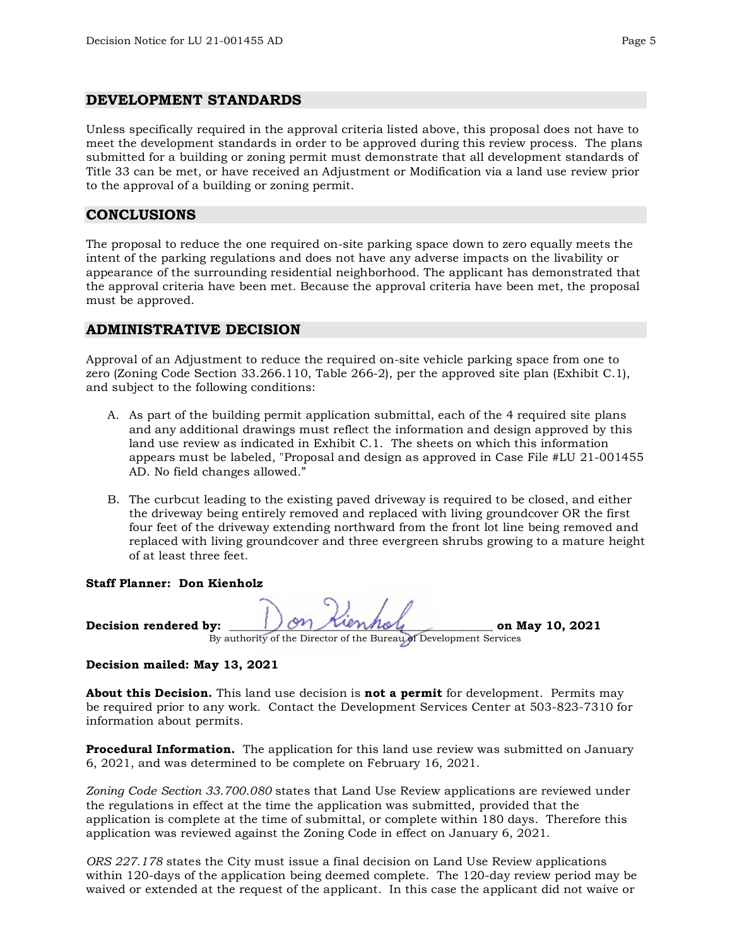#### **DEVELOPMENT STANDARDS**

Unless specifically required in the approval criteria listed above, this proposal does not have to meet the development standards in order to be approved during this review process. The plans submitted for a building or zoning permit must demonstrate that all development standards of Title 33 can be met, or have received an Adjustment or Modification via a land use review prior to the approval of a building or zoning permit.

#### **CONCLUSIONS**

The proposal to reduce the one required on-site parking space down to zero equally meets the intent of the parking regulations and does not have any adverse impacts on the livability or appearance of the surrounding residential neighborhood. The applicant has demonstrated that the approval criteria have been met. Because the approval criteria have been met, the proposal must be approved.

## **ADMINISTRATIVE DECISION**

Approval of an Adjustment to reduce the required on-site vehicle parking space from one to zero (Zoning Code Section 33.266.110, Table 266-2), per the approved site plan (Exhibit C.1), and subject to the following conditions:

- A. As part of the building permit application submittal, each of the 4 required site plans and any additional drawings must reflect the information and design approved by this land use review as indicated in Exhibit C.1. The sheets on which this information appears must be labeled, "Proposal and design as approved in Case File #LU 21-001455 AD. No field changes allowed."
- B. The curbcut leading to the existing paved driveway is required to be closed, and either the driveway being entirely removed and replaced with living groundcover OR the first four feet of the driveway extending northward from the front lot line being removed and replaced with living groundcover and three evergreen shrubs growing to a mature height of at least three feet.

**Staff Planner: Don Kienholz**

**Decision rendered by:**  $\bigcup$  on  $\bigcup$   $\bigcup$   $\bigcup$   $\bigcup$   $\bigcup$   $\bigcup$   $\bigcup$   $\bigcup$   $\bigcup$   $\bigcup$   $\bigcup$   $\bigcup$   $\bigcup$   $\bigcup$   $\bigcup$   $\bigcup$   $\bigcup$   $\bigcup$   $\bigcup$   $\bigcup$   $\bigcup$   $\bigcup$   $\bigcup$   $\bigcup$   $\bigcup$   $\bigcup$   $\bigcup$   $\bigcup$   $\bigcup$   $\bigcup$   $\bigcup$   $\big$ By authority of the Director of the Bureau of Development Services

**Decision mailed: May 13, 2021**

**About this Decision.** This land use decision is **not a permit** for development. Permits may be required prior to any work. Contact the Development Services Center at 503-823-7310 for information about permits.

**Procedural Information.** The application for this land use review was submitted on January 6, 2021, and was determined to be complete on February 16, 2021.

*Zoning Code Section 33.700.080* states that Land Use Review applications are reviewed under the regulations in effect at the time the application was submitted, provided that the application is complete at the time of submittal, or complete within 180 days. Therefore this application was reviewed against the Zoning Code in effect on January 6, 2021.

*ORS 227.178* states the City must issue a final decision on Land Use Review applications within 120-days of the application being deemed complete. The 120-day review period may be waived or extended at the request of the applicant. In this case the applicant did not waive or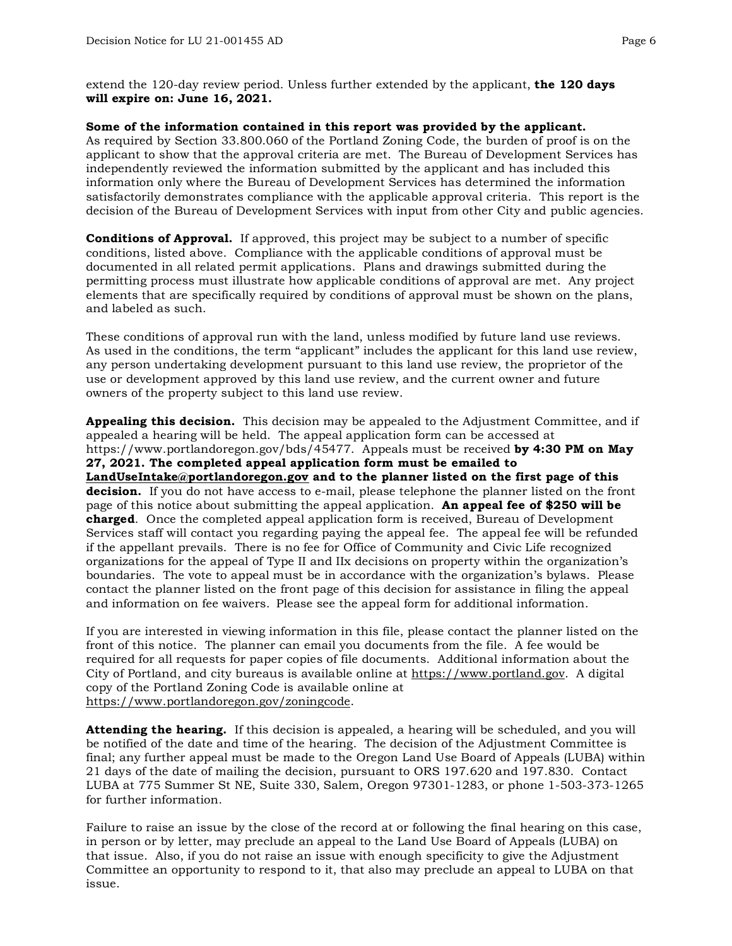extend the 120-day review period. Unless further extended by the applicant, **the 120 days will expire on: June 16, 2021.**

#### **Some of the information contained in this report was provided by the applicant.**

As required by Section 33.800.060 of the Portland Zoning Code, the burden of proof is on the applicant to show that the approval criteria are met. The Bureau of Development Services has independently reviewed the information submitted by the applicant and has included this information only where the Bureau of Development Services has determined the information satisfactorily demonstrates compliance with the applicable approval criteria. This report is the decision of the Bureau of Development Services with input from other City and public agencies.

**Conditions of Approval.** If approved, this project may be subject to a number of specific conditions, listed above. Compliance with the applicable conditions of approval must be documented in all related permit applications. Plans and drawings submitted during the permitting process must illustrate how applicable conditions of approval are met. Any project elements that are specifically required by conditions of approval must be shown on the plans, and labeled as such.

These conditions of approval run with the land, unless modified by future land use reviews. As used in the conditions, the term "applicant" includes the applicant for this land use review, any person undertaking development pursuant to this land use review, the proprietor of the use or development approved by this land use review, and the current owner and future owners of the property subject to this land use review.

**Appealing this decision.** This decision may be appealed to the Adjustment Committee, and if appealed a hearing will be held. The appeal application form can be accessed at https://www.portlandoregon.gov/bds/45477. Appeals must be received **by 4:30 PM on May 27, 2021. The completed appeal application form must be emailed to [LandUseIntake@portlandoregon.gov](mailto:LandUseIntake@portlandoregon.gov) and to the planner listed on the first page of this decision.** If you do not have access to e-mail, please telephone the planner listed on the front page of this notice about submitting the appeal application. **An appeal fee of \$250 will be charged**. Once the completed appeal application form is received, Bureau of Development Services staff will contact you regarding paying the appeal fee. The appeal fee will be refunded if the appellant prevails. There is no fee for Office of Community and Civic Life recognized organizations for the appeal of Type II and IIx decisions on property within the organization's boundaries. The vote to appeal must be in accordance with the organization's bylaws. Please contact the planner listed on the front page of this decision for assistance in filing the appeal and information on fee waivers. Please see the appeal form for additional information.

If you are interested in viewing information in this file, please contact the planner listed on the front of this notice. The planner can email you documents from the file. A fee would be required for all requests for paper copies of file documents. Additional information about the City of Portland, and city bureaus is available online at [https://www.portland.gov.](https://www.portland.gov/) A digital copy of the Portland Zoning Code is available online at [https://www.portlandoregon.gov/zoningcode.](https://www.portlandoregon.gov/zoningcode)

**Attending the hearing.** If this decision is appealed, a hearing will be scheduled, and you will be notified of the date and time of the hearing. The decision of the Adjustment Committee is final; any further appeal must be made to the Oregon Land Use Board of Appeals (LUBA) within 21 days of the date of mailing the decision, pursuant to ORS 197.620 and 197.830. Contact LUBA at 775 Summer St NE, Suite 330, Salem, Oregon 97301-1283, or phone 1-503-373-1265 for further information.

Failure to raise an issue by the close of the record at or following the final hearing on this case, in person or by letter, may preclude an appeal to the Land Use Board of Appeals (LUBA) on that issue. Also, if you do not raise an issue with enough specificity to give the Adjustment Committee an opportunity to respond to it, that also may preclude an appeal to LUBA on that issue.